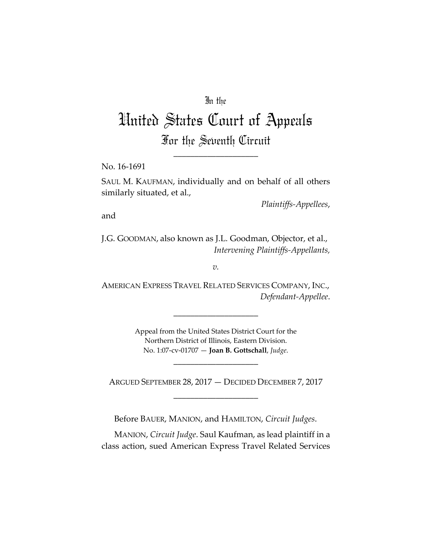## In the

# United States Court of Appeals For the Seventh Circuit

\_\_\_\_\_\_\_\_\_\_\_\_\_\_\_\_\_\_\_\_

No. 16‐1691

SAUL M. KAUFMAN, individually and on behalf of all others similarly situated, et al.,

*Plaintiffs‐Appellees*,

and

J.G. GOODMAN, also known as J.L. Goodman, Objector, et al., *Intervening Plaintiffs‐Appellants,*

*v.*

AMERICAN EXPRESS TRAVEL RELATED SERVICES COMPANY, INC., *Defendant‐Appellee*.

\_\_\_\_\_\_\_\_\_\_\_\_\_\_\_\_\_\_\_\_

Appeal from the United States District Court for the Northern District of Illinois, Eastern Division. No. 1:07‐cv‐01707 — **Joan B. Gottschall**, *Judge*.

ARGUED SEPTEMBER 28, 2017 — DECIDED DECEMBER 7, 2017 \_\_\_\_\_\_\_\_\_\_\_\_\_\_\_\_\_\_\_\_

\_\_\_\_\_\_\_\_\_\_\_\_\_\_\_\_\_\_\_\_

Before BAUER, MANION, and HAMILTON, *Circuit Judges*.

MANION, *Circuit Judge*. Saul Kaufman, as lead plaintiff in a class action, sued American Express Travel Related Services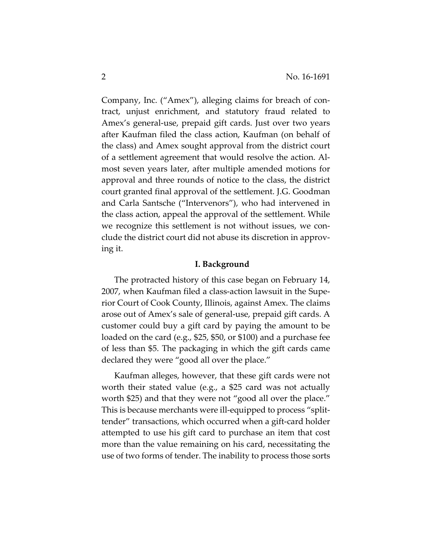Company, Inc. ("Amex"), alleging claims for breach of con‐ tract, unjust enrichment, and statutory fraud related to Amex's general‐use, prepaid gift cards. Just over two years after Kaufman filed the class action, Kaufman (on behalf of the class) and Amex sought approval from the district court of a settlement agreement that would resolve the action. Al‐ most seven years later, after multiple amended motions for approval and three rounds of notice to the class, the district court granted final approval of the settlement. J.G. Goodman and Carla Santsche ("Intervenors"), who had intervened in the class action, appeal the approval of the settlement. While we recognize this settlement is not without issues, we conclude the district court did not abuse its discretion in approv‐ ing it.

#### **I. Background**

The protracted history of this case began on February 14, 2007, when Kaufman filed a class‐action lawsuit in the Supe‐ rior Court of Cook County, Illinois, against Amex. The claims arose out of Amex's sale of general‐use, prepaid gift cards. A customer could buy a gift card by paying the amount to be loaded on the card (e.g., \$25, \$50, or \$100) and a purchase fee of less than \$5. The packaging in which the gift cards came declared they were "good all over the place."

Kaufman alleges, however, that these gift cards were not worth their stated value (e.g., a \$25 card was not actually worth \$25) and that they were not "good all over the place." This is because merchants were ill‐equipped to process "split‐ tender" transactions, which occurred when a gift‐card holder attempted to use his gift card to purchase an item that cost more than the value remaining on his card, necessitating the use of two forms of tender. The inability to process those sorts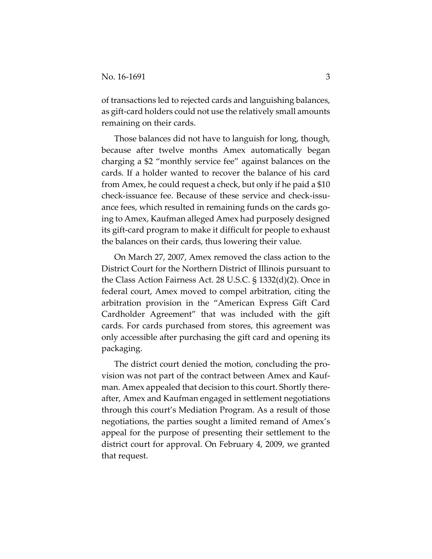of transactions led to rejected cards and languishing balances, as gift-card holders could not use the relatively small amounts remaining on their cards.

Those balances did not have to languish for long, though, because after twelve months Amex automatically began charging a \$2 "monthly service fee" against balances on the cards. If a holder wanted to recover the balance of his card from Amex, he could request a check, but only if he paid a \$10 check‐issuance fee. Because of these service and check‐issu‐ ance fees, which resulted in remaining funds on the cards going to Amex, Kaufman alleged Amex had purposely designed its gift‐card program to make it difficult for people to exhaust the balances on their cards, thus lowering their value.

On March 27, 2007, Amex removed the class action to the District Court for the Northern District of Illinois pursuant to the Class Action Fairness Act. 28 U.S.C. § 1332(d)(2). Once in federal court, Amex moved to compel arbitration, citing the arbitration provision in the "American Express Gift Card Cardholder Agreement" that was included with the gift cards. For cards purchased from stores, this agreement was only accessible after purchasing the gift card and opening its packaging.

The district court denied the motion, concluding the pro‐ vision was not part of the contract between Amex and Kauf‐ man. Amex appealed that decision to this court. Shortly there‐ after, Amex and Kaufman engaged in settlement negotiations through this court's Mediation Program. As a result of those negotiations, the parties sought a limited remand of Amex's appeal for the purpose of presenting their settlement to the district court for approval. On February 4, 2009, we granted that request.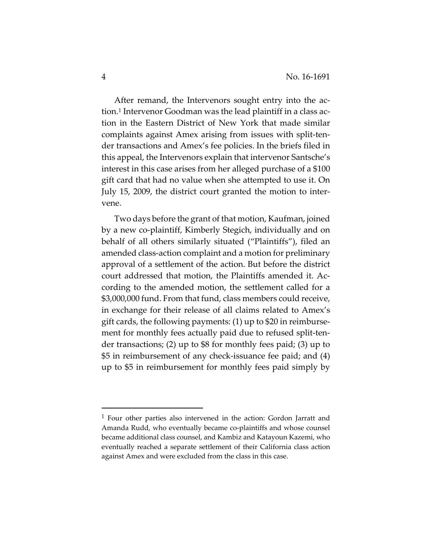After remand, the Intervenors sought entry into the action.1 Intervenor Goodman was the lead plaintiff in a class ac‐ tion in the Eastern District of New York that made similar complaints against Amex arising from issues with split‐ten‐ der transactions and Amex's fee policies. In the briefs filed in this appeal, the Intervenors explain that intervenor Santsche's interest in this case arises from her alleged purchase of a \$100 gift card that had no value when she attempted to use it. On July 15, 2009, the district court granted the motion to inter‐ vene.

Two days before the grant of that motion, Kaufman, joined by a new co‐plaintiff, Kimberly Stegich, individually and on behalf of all others similarly situated ("Plaintiffs"), filed an amended class‐action complaint and a motion for preliminary approval of a settlement of the action. But before the district court addressed that motion, the Plaintiffs amended it. Ac‐ cording to the amended motion, the settlement called for a \$3,000,000 fund. From that fund, class members could receive, in exchange for their release of all claims related to Amex's gift cards, the following payments: (1) up to \$20 in reimburse‐ ment for monthly fees actually paid due to refused split-tender transactions; (2) up to \$8 for monthly fees paid; (3) up to \$5 in reimbursement of any check‐issuance fee paid; and (4) up to \$5 in reimbursement for monthly fees paid simply by

<sup>1</sup> Four other parties also intervened in the action: Gordon Jarratt and Amanda Rudd, who eventually became co-plaintiffs and whose counsel became additional class counsel, and Kambiz and Katayoun Kazemi, who eventually reached a separate settlement of their California class action against Amex and were excluded from the class in this case.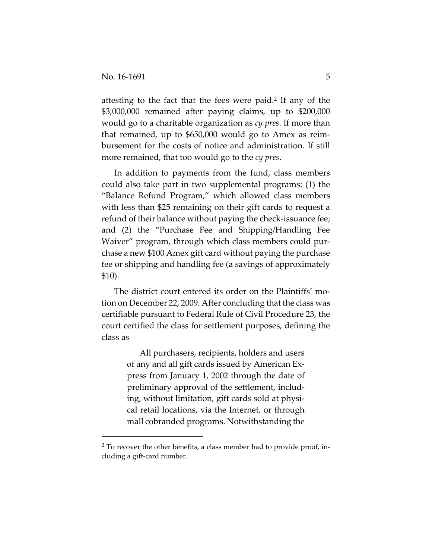attesting to the fact that the fees were paid.2 If any of the \$3,000,000 remained after paying claims, up to \$200,000 would go to a charitable organization as *cy pres*. If more than that remained, up to \$650,000 would go to Amex as reim‐ bursement for the costs of notice and administration. If still more remained, that too would go to the *cy pres*.

In addition to payments from the fund, class members could also take part in two supplemental programs: (1) the "Balance Refund Program," which allowed class members with less than \$25 remaining on their gift cards to request a refund of their balance without paying the check‐issuance fee; and (2) the "Purchase Fee and Shipping/Handling Fee Waiver" program, through which class members could pur‐ chase a new \$100 Amex gift card without paying the purchase fee or shipping and handling fee (a savings of approximately \$10).

The district court entered its order on the Plaintiffs' motion on December 22, 2009. After concluding that the class was certifiable pursuant to Federal Rule of Civil Procedure 23, the court certified the class for settlement purposes, defining the class as

> All purchasers, recipients, holders and users of any and all gift cards issued by American Ex‐ press from January 1, 2002 through the date of preliminary approval of the settlement, includ‐ ing, without limitation, gift cards sold at physi‐ cal retail locations, via the Internet, or through mall cobranded programs. Notwithstanding the

<sup>2</sup> To recover the other benefits, a class member had to provide proof, in‐ cluding a gift‐card number.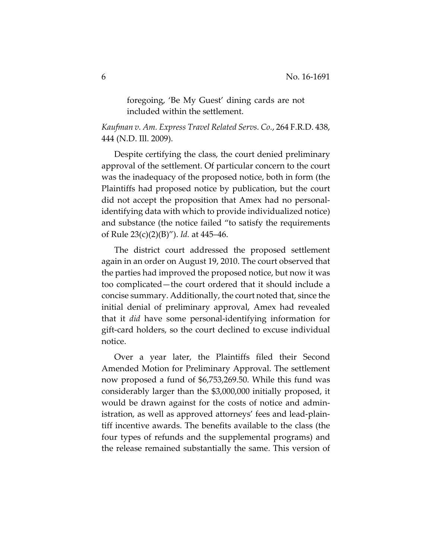foregoing, 'Be My Guest' dining cards are not included within the settlement.

*Kaufman v. Am. Express Travel Related Servs. Co.*, 264 F.R.D. 438, 444 (N.D. Ill. 2009).

Despite certifying the class, the court denied preliminary approval of the settlement. Of particular concern to the court was the inadequacy of the proposed notice, both in form (the Plaintiffs had proposed notice by publication, but the court did not accept the proposition that Amex had no personal‐ identifying data with which to provide individualized notice) and substance (the notice failed "to satisfy the requirements of Rule 23(c)(2)(B)"). *Id.* at 445–46.

The district court addressed the proposed settlement again in an order on August 19, 2010. The court observed that the parties had improved the proposed notice, but now it was too complicated—the court ordered that it should include a concise summary. Additionally, the court noted that, since the initial denial of preliminary approval, Amex had revealed that it *did* have some personal‐identifying information for gift‐card holders, so the court declined to excuse individual notice.

Over a year later, the Plaintiffs filed their Second Amended Motion for Preliminary Approval. The settlement now proposed a fund of \$6,753,269.50. While this fund was considerably larger than the \$3,000,000 initially proposed, it would be drawn against for the costs of notice and admin‐ istration, as well as approved attorneys' fees and lead‐plain‐ tiff incentive awards. The benefits available to the class (the four types of refunds and the supplemental programs) and the release remained substantially the same. This version of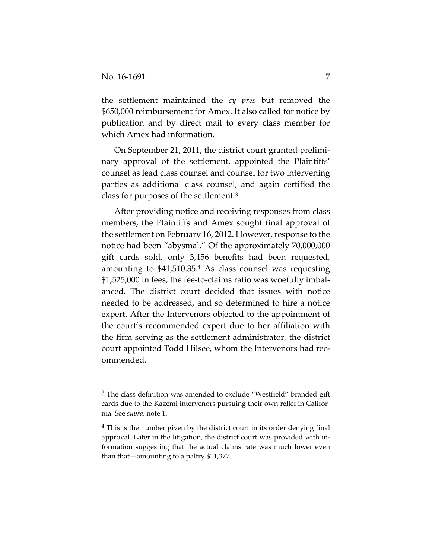the settlement maintained the *cy pres* but removed the \$650,000 reimbursement for Amex. It also called for notice by publication and by direct mail to every class member for which Amex had information.

On September 21, 2011, the district court granted prelimi‐ nary approval of the settlement, appointed the Plaintiffs' counsel as lead class counsel and counsel for two intervening parties as additional class counsel, and again certified the class for purposes of the settlement.3

After providing notice and receiving responses from class members, the Plaintiffs and Amex sought final approval of the settlement on February 16, 2012. However, response to the notice had been "abysmal." Of the approximately 70,000,000 gift cards sold, only 3,456 benefits had been requested, amounting to \$41,510.35.4 As class counsel was requesting \$1,525,000 in fees, the fee‐to‐claims ratio was woefully imbal‐ anced. The district court decided that issues with notice needed to be addressed, and so determined to hire a notice expert. After the Intervenors objected to the appointment of the court's recommended expert due to her affiliation with the firm serving as the settlement administrator, the district court appointed Todd Hilsee, whom the Intervenors had rec‐ ommended.

 $3$  The class definition was amended to exclude "Westfield" branded gift cards due to the Kazemi intervenors pursuing their own relief in California. See *supra*, note 1.

<sup>&</sup>lt;sup>4</sup> This is the number given by the district court in its order denying final approval. Later in the litigation, the district court was provided with in‐ formation suggesting that the actual claims rate was much lower even than that—amounting to a paltry \$11,377.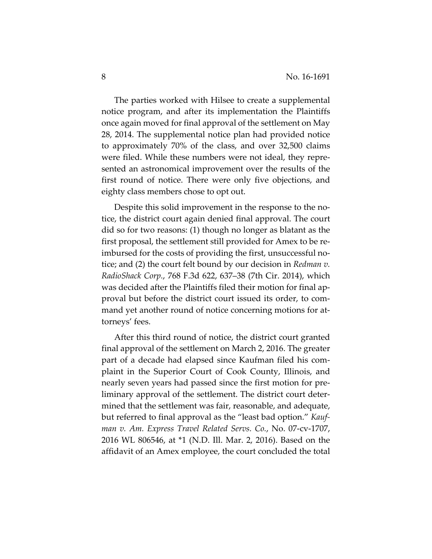The parties worked with Hilsee to create a supplemental notice program, and after its implementation the Plaintiffs once again moved for final approval of the settlement on May 28, 2014. The supplemental notice plan had provided notice to approximately 70% of the class, and over 32,500 claims were filed. While these numbers were not ideal, they repre‐ sented an astronomical improvement over the results of the first round of notice. There were only five objections, and eighty class members chose to opt out.

Despite this solid improvement in the response to the no‐ tice, the district court again denied final approval. The court did so for two reasons: (1) though no longer as blatant as the first proposal, the settlement still provided for Amex to be re‐ imbursed for the costs of providing the first, unsuccessful no‐ tice; and (2) the court felt bound by our decision in *Redman v. RadioShack Corp.*, 768 F.3d 622, 637–38 (7th Cir. 2014), which was decided after the Plaintiffs filed their motion for final ap‐ proval but before the district court issued its order, to com‐ mand yet another round of notice concerning motions for attorneys' fees.

After this third round of notice, the district court granted final approval of the settlement on March 2, 2016. The greater part of a decade had elapsed since Kaufman filed his com‐ plaint in the Superior Court of Cook County, Illinois, and nearly seven years had passed since the first motion for pre‐ liminary approval of the settlement. The district court deter‐ mined that the settlement was fair, reasonable, and adequate, but referred to final approval as the "least bad option." *Kauf‐ man v. Am. Express Travel Related Servs. Co.*, No. 07‐cv‐1707, 2016 WL 806546, at \*1 (N.D. Ill. Mar. 2, 2016). Based on the affidavit of an Amex employee, the court concluded the total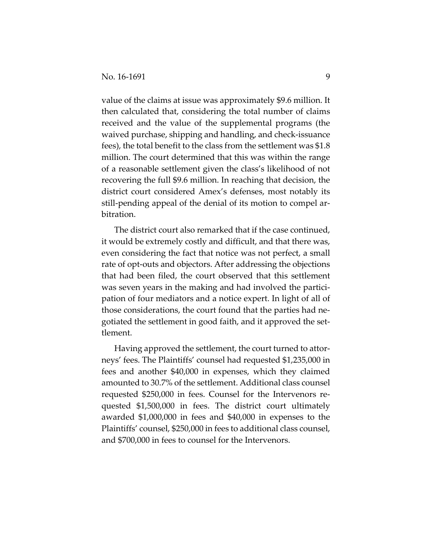value of the claims at issue was approximately \$9.6 million. It then calculated that, considering the total number of claims received and the value of the supplemental programs (the waived purchase, shipping and handling, and check‐issuance fees), the total benefit to the class from the settlement was \$1.8 million. The court determined that this was within the range of a reasonable settlement given the class's likelihood of not recovering the full \$9.6 million. In reaching that decision, the district court considered Amex's defenses, most notably its still-pending appeal of the denial of its motion to compel arbitration.

The district court also remarked that if the case continued, it would be extremely costly and difficult, and that there was, even considering the fact that notice was not perfect, a small rate of opt-outs and objectors. After addressing the objections that had been filed, the court observed that this settlement was seven years in the making and had involved the participation of four mediators and a notice expert. In light of all of those considerations, the court found that the parties had ne‐ gotiated the settlement in good faith, and it approved the set‐ tlement.

Having approved the settlement, the court turned to attor‐ neys' fees. The Plaintiffs' counsel had requested \$1,235,000 in fees and another \$40,000 in expenses, which they claimed amounted to 30.7% of the settlement. Additional class counsel requested \$250,000 in fees. Counsel for the Intervenors re‐ quested \$1,500,000 in fees. The district court ultimately awarded \$1,000,000 in fees and \$40,000 in expenses to the Plaintiffs' counsel, \$250,000 in fees to additional class counsel, and \$700,000 in fees to counsel for the Intervenors.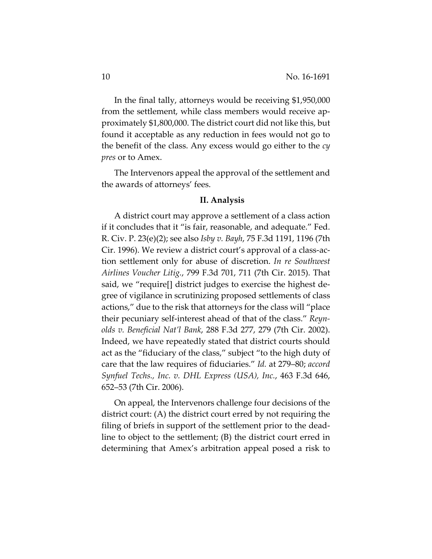In the final tally, attorneys would be receiving \$1,950,000 from the settlement, while class members would receive approximately \$1,800,000. The district court did not like this, but found it acceptable as any reduction in fees would not go to the benefit of the class. Any excess would go either to the *cy pres* or to Amex.

The Intervenors appeal the approval of the settlement and the awards of attorneys' fees.

#### **II. Analysis**

A district court may approve a settlement of a class action if it concludes that it "is fair, reasonable, and adequate." Fed. R. Civ. P. 23(e)(2); see also *Isby v. Bayh*, 75 F.3d 1191, 1196 (7th Cir. 1996). We review a district court's approval of a class‐ac‐ tion settlement only for abuse of discretion. *In re Southwest Airlines Voucher Litig.*, 799 F.3d 701, 711 (7th Cir. 2015). That said, we "require<sup>[]</sup> district judges to exercise the highest degree of vigilance in scrutinizing proposed settlements of class actions," due to the risk that attorneys for the class will "place their pecuniary self‐interest ahead of that of the class." *Reyn‐ olds v. Beneficial Nat'l Bank*, 288 F.3d 277, 279 (7th Cir. 2002). Indeed, we have repeatedly stated that district courts should act as the "fiduciary of the class," subject "to the high duty of care that the law requires of fiduciaries." *Id.* at 279–80; *accord Synfuel Techs., Inc. v. DHL Express (USA), Inc.*, 463 F.3d 646, 652–53 (7th Cir. 2006).

On appeal, the Intervenors challenge four decisions of the district court: (A) the district court erred by not requiring the filing of briefs in support of the settlement prior to the dead‐ line to object to the settlement; (B) the district court erred in determining that Amex's arbitration appeal posed a risk to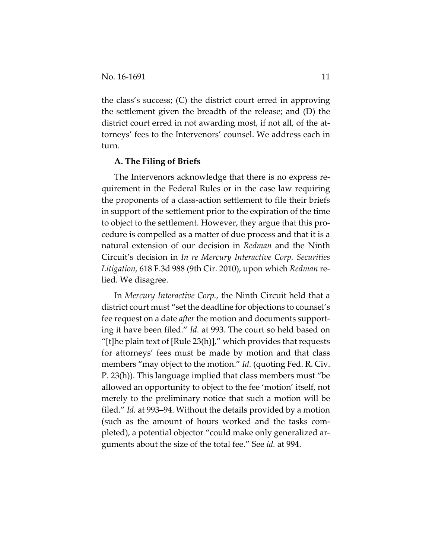the class's success; (C) the district court erred in approving the settlement given the breadth of the release; and (D) the district court erred in not awarding most, if not all, of the at‐ torneys' fees to the Intervenors' counsel. We address each in turn.

#### **A. The Filing of Briefs**

The Intervenors acknowledge that there is no express re‐ quirement in the Federal Rules or in the case law requiring the proponents of a class‐action settlement to file their briefs in support of the settlement prior to the expiration of the time to object to the settlement. However, they argue that this pro‐ cedure is compelled as a matter of due process and that it is a natural extension of our decision in *Redman* and the Ninth Circuit's decision in *In re Mercury Interactive Corp. Securities Litigation*, 618 F.3d 988 (9th Cir. 2010), upon which *Redman* re‐ lied. We disagree.

In *Mercury Interactive Corp.*, the Ninth Circuit held that a district court must "set the deadline for objections to counsel's fee request on a date *after* the motion and documents supporting it have been filed." *Id.* at 993. The court so held based on "[t]he plain text of  $[Rule 23(h)]$ ," which provides that requests for attorneys' fees must be made by motion and that class members "may object to the motion." *Id.* (quoting Fed. R. Civ. P. 23(h)). This language implied that class members must "be allowed an opportunity to object to the fee 'motion' itself, not merely to the preliminary notice that such a motion will be filed." *Id.* at 993–94. Without the details provided by a motion (such as the amount of hours worked and the tasks com‐ pleted), a potential objector "could make only generalized ar‐ guments about the size of the total fee." See *id.* at 994.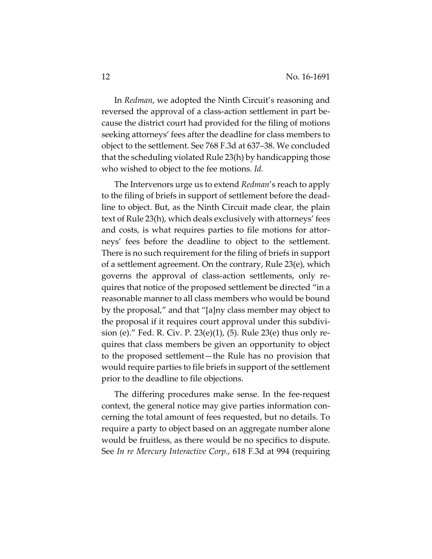In *Redman*, we adopted the Ninth Circuit's reasoning and reversed the approval of a class-action settlement in part because the district court had provided for the filing of motions seeking attorneys' fees after the deadline for class members to object to the settlement. See 768 F.3d at 637–38. We concluded that the scheduling violated Rule 23(h) by handicapping those who wished to object to the fee motions. *Id.*

The Intervenors urge us to extend *Redman*'s reach to apply to the filing of briefs in support of settlement before the dead‐ line to object. But, as the Ninth Circuit made clear, the plain text of Rule 23(h), which deals exclusively with attorneys' fees and costs, is what requires parties to file motions for attor‐ neys' fees before the deadline to object to the settlement. There is no such requirement for the filing of briefs in support of a settlement agreement. On the contrary, Rule 23(e), which governs the approval of class‐action settlements, only re‐ quires that notice of the proposed settlement be directed "in a reasonable manner to all class members who would be bound by the proposal," and that "[a]ny class member may object to the proposal if it requires court approval under this subdivi‐ sion (e)." Fed. R. Civ. P. 23(e)(1), (5). Rule 23(e) thus only re‐ quires that class members be given an opportunity to object to the proposed settlement—the Rule has no provision that would require parties to file briefs in support of the settlement prior to the deadline to file objections.

The differing procedures make sense. In the fee‐request context, the general notice may give parties information con‐ cerning the total amount of fees requested, but no details. To require a party to object based on an aggregate number alone would be fruitless, as there would be no specifics to dispute. See *In re Mercury Interactive Corp.*, 618 F.3d at 994 (requiring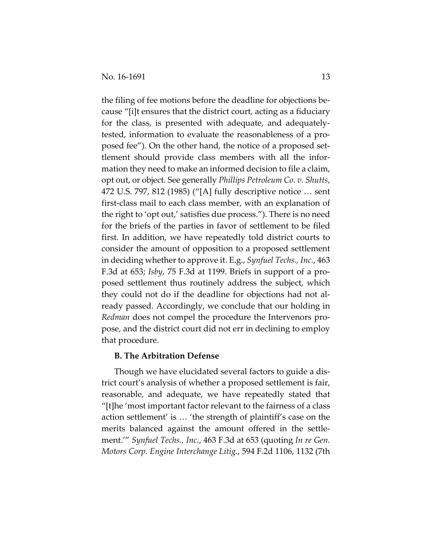the filing of fee motions before the deadline for objections be‐ cause "[i]t ensures that the district court, acting as a fiduciary for the class, is presented with adequate, and adequately‐ tested, information to evaluate the reasonableness of a pro‐ posed fee"). On the other hand, the notice of a proposed set‐ tlement should provide class members with all the infor‐ mation they need to make an informed decision to file a claim, opt out, or object. See generally *Phillips Petroleum Co. v. Shutts*, 472 U.S. 797, 812 (1985) ("[A] fully descriptive notice … sent first‐class mail to each class member, with an explanation of the right to 'opt out,' satisfies due process."). There is no need for the briefs of the parties in favor of settlement to be filed first. In addition, we have repeatedly told district courts to consider the amount of opposition to a proposed settlement in deciding whether to approve it. E.g., *Synfuel Techs., Inc.*, 463 F.3d at 653; *Isby*, 75 F.3d at 1199. Briefs in support of a pro‐ posed settlement thus routinely address the subject, which they could not do if the deadline for objections had not al‐ ready passed. Accordingly, we conclude that our holding in *Redman* does not compel the procedure the Intervenors pro‐ pose, and the district court did not err in declining to employ that procedure.

#### **B. The Arbitration Defense**

Though we have elucidated several factors to guide a dis‐ trict court's analysis of whether a proposed settlement is fair, reasonable, and adequate, we have repeatedly stated that "[t]he 'most important factor relevant to the fairness of a class action settlement' is … 'the strength of plaintiff's case on the merits balanced against the amount offered in the settle‐ ment.'" *Synfuel Techs., Inc.*, 463 F.3d at 653 (quoting *In re Gen. Motors Corp. Engine Interchange Litig.*, 594 F.2d 1106, 1132 (7th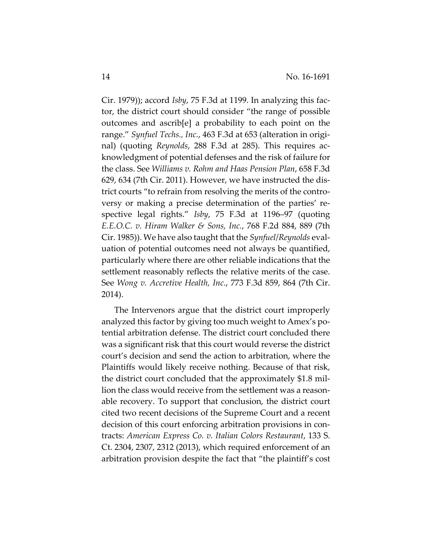Cir. 1979)); accord *Isby*, 75 F.3d at 1199. In analyzing this fac‐ tor, the district court should consider "the range of possible outcomes and ascrib[e] a probability to each point on the range." *Synfuel Techs., Inc.*, 463 F.3d at 653 (alteration in origi‐ nal) (quoting *Reynolds,* 288 F.3d at 285). This requires acknowledgment of potential defenses and the risk of failure for the class. See *Williams v. Rohm and Haas Pension Plan*, 658 F.3d 629, 634 (7th Cir. 2011). However, we have instructed the dis‐ trict courts "to refrain from resolving the merits of the contro‐ versy or making a precise determination of the parties' re‐ spective legal rights." *Isby*, 75 F.3d at 1196–97 (quoting *E.E.O.C. v. Hiram Walker & Sons, Inc.*, 768 F.2d 884, 889 (7th Cir. 1985)). We have also taught that the *Synfuel*/*Reynolds* eval‐ uation of potential outcomes need not always be quantified, particularly where there are other reliable indications that the settlement reasonably reflects the relative merits of the case. See *Wong v. Accretive Health, Inc.*, 773 F.3d 859, 864 (7th Cir. 2014).

The Intervenors argue that the district court improperly analyzed this factor by giving too much weight to Amex's po‐ tential arbitration defense. The district court concluded there was a significant risk that this court would reverse the district court's decision and send the action to arbitration, where the Plaintiffs would likely receive nothing. Because of that risk, the district court concluded that the approximately \$1.8 mil‐ lion the class would receive from the settlement was a reasonable recovery. To support that conclusion, the district court cited two recent decisions of the Supreme Court and a recent decision of this court enforcing arbitration provisions in con‐ tracts: *American Express Co. v. Italian Colors Restaurant*, 133 S. Ct. 2304, 2307, 2312 (2013), which required enforcement of an arbitration provision despite the fact that "the plaintiff's cost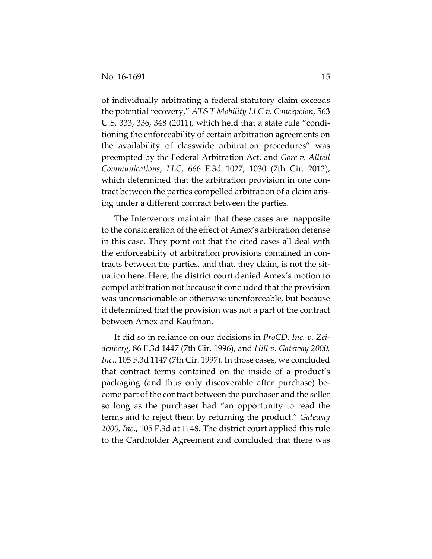of individually arbitrating a federal statutory claim exceeds the potential recovery," *AT&T Mobility LLC v. Concepcion*, 563 U.S. 333, 336, 348 (2011), which held that a state rule "condi‐ tioning the enforceability of certain arbitration agreements on the availability of classwide arbitration procedures" was preempted by the Federal Arbitration Act, and *Gore v. Alltell Communications, LLC*, 666 F.3d 1027, 1030 (7th Cir. 2012), which determined that the arbitration provision in one contract between the parties compelled arbitration of a claim aris‐ ing under a different contract between the parties.

The Intervenors maintain that these cases are inapposite to the consideration of the effect of Amex's arbitration defense in this case. They point out that the cited cases all deal with the enforceability of arbitration provisions contained in con‐ tracts between the parties, and that, they claim, is not the sit‐ uation here. Here, the district court denied Amex's motion to compel arbitration not because it concluded that the provision was unconscionable or otherwise unenforceable, but because it determined that the provision was not a part of the contract between Amex and Kaufman.

It did so in reliance on our decisions in *ProCD, Inc. v. Zei‐ denberg*, 86 F.3d 1447 (7th Cir. 1996), and *Hill v. Gateway 2000, Inc.*, 105 F.3d 1147 (7th Cir. 1997). In those cases, we concluded that contract terms contained on the inside of a product's packaging (and thus only discoverable after purchase) be‐ come part of the contract between the purchaser and the seller so long as the purchaser had "an opportunity to read the terms and to reject them by returning the product." *Gateway 2000, Inc.*, 105 F.3d at 1148. The district court applied this rule to the Cardholder Agreement and concluded that there was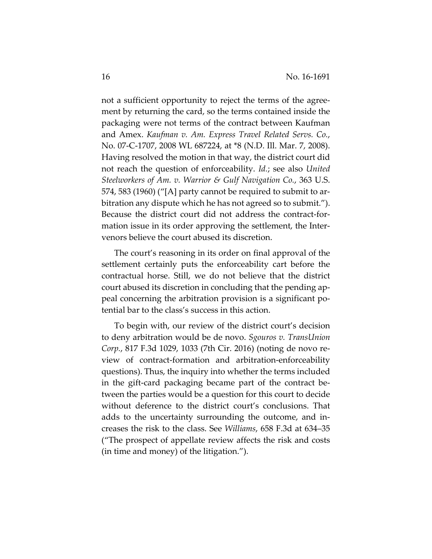not a sufficient opportunity to reject the terms of the agree‐ ment by returning the card, so the terms contained inside the packaging were not terms of the contract between Kaufman and Amex. *Kaufman v. Am. Express Travel Related Servs. Co.*, No. 07‐C‐1707, 2008 WL 687224, at \*8 (N.D. Ill. Mar. 7, 2008). Having resolved the motion in that way, the district court did not reach the question of enforceability. *Id.*; see also *United Steelworkers of Am. v. Warrior & Gulf Navigation Co.*, 363 U.S. 574, 583 (1960) ("[A] party cannot be required to submit to ar‐ bitration any dispute which he has not agreed so to submit."). Because the district court did not address the contract-formation issue in its order approving the settlement, the Intervenors believe the court abused its discretion.

The court's reasoning in its order on final approval of the settlement certainly puts the enforceability cart before the contractual horse. Still, we do not believe that the district court abused its discretion in concluding that the pending ap‐ peal concerning the arbitration provision is a significant po‐ tential bar to the class's success in this action.

To begin with, our review of the district court's decision to deny arbitration would be de novo. *Sgouros v. TransUnion Corp.*, 817 F.3d 1029, 1033 (7th Cir. 2016) (noting de novo re‐ view of contract-formation and arbitration-enforceability questions). Thus, the inquiry into whether the terms included in the gift‐card packaging became part of the contract be‐ tween the parties would be a question for this court to decide without deference to the district court's conclusions. That adds to the uncertainty surrounding the outcome, and in‐ creases the risk to the class. See *Williams*, 658 F.3d at 634–35 ("The prospect of appellate review affects the risk and costs (in time and money) of the litigation.").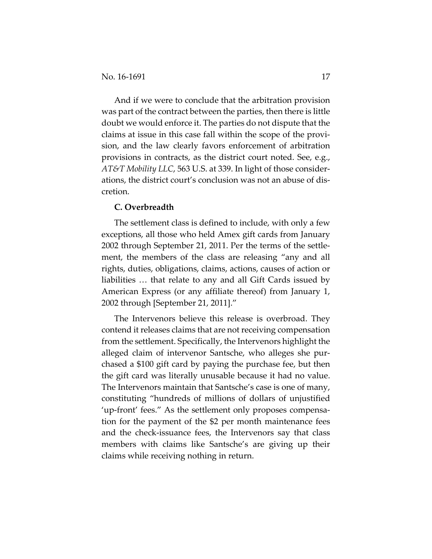And if we were to conclude that the arbitration provision was part of the contract between the parties, then there is little doubt we would enforce it. The parties do not dispute that the claims at issue in this case fall within the scope of the provi‐ sion, and the law clearly favors enforcement of arbitration provisions in contracts, as the district court noted. See, e.g., *AT&T Mobility LLC*, 563 U.S. at 339. In light of those consider‐ ations, the district court's conclusion was not an abuse of dis‐ cretion.

### **C. Overbreadth**

The settlement class is defined to include, with only a few exceptions, all those who held Amex gift cards from January 2002 through September 21, 2011. Per the terms of the settle‐ ment, the members of the class are releasing "any and all rights, duties, obligations, claims, actions, causes of action or liabilities … that relate to any and all Gift Cards issued by American Express (or any affiliate thereof) from January 1, 2002 through [September 21, 2011]."

The Intervenors believe this release is overbroad. They contend it releases claims that are not receiving compensation from the settlement. Specifically, the Intervenors highlight the alleged claim of intervenor Santsche, who alleges she pur‐ chased a \$100 gift card by paying the purchase fee, but then the gift card was literally unusable because it had no value. The Intervenors maintain that Santsche's case is one of many, constituting "hundreds of millions of dollars of unjustified 'up‐front' fees." As the settlement only proposes compensa‐ tion for the payment of the \$2 per month maintenance fees and the check‐issuance fees, the Intervenors say that class members with claims like Santsche's are giving up their claims while receiving nothing in return.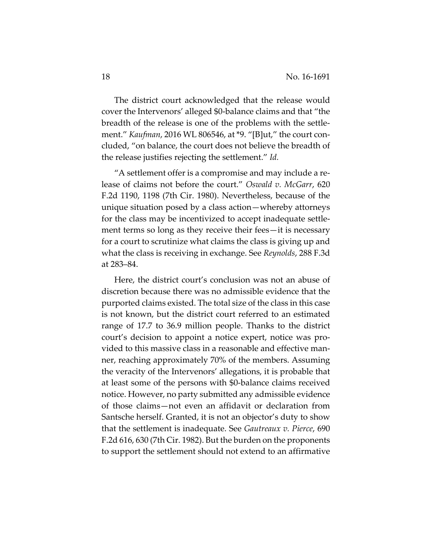The district court acknowledged that the release would cover the Intervenors' alleged \$0‐balance claims and that "the breadth of the release is one of the problems with the settle‐ ment." *Kaufman*, 2016 WL 806546, at \*9. "[B]ut," the court con‐ cluded, "on balance, the court does not believe the breadth of the release justifies rejecting the settlement." *Id.*

"A settlement offer is a compromise and may include a re‐ lease of claims not before the court." *Oswald v. McGarr*, 620 F.2d 1190, 1198 (7th Cir. 1980). Nevertheless, because of the unique situation posed by a class action—whereby attorneys for the class may be incentivized to accept inadequate settle‐ ment terms so long as they receive their fees—it is necessary for a court to scrutinize what claims the class is giving up and what the class is receiving in exchange. See *Reynolds*, 288 F.3d at 283–84.

Here, the district court's conclusion was not an abuse of discretion because there was no admissible evidence that the purported claims existed. The total size of the class in this case is not known, but the district court referred to an estimated range of 17.7 to 36.9 million people. Thanks to the district court's decision to appoint a notice expert, notice was pro‐ vided to this massive class in a reasonable and effective man‐ ner, reaching approximately 70% of the members. Assuming the veracity of the Intervenors' allegations, it is probable that at least some of the persons with \$0‐balance claims received notice. However, no party submitted any admissible evidence of those claims—not even an affidavit or declaration from Santsche herself. Granted, it is not an objector's duty to show that the settlement is inadequate. See *Gautreaux v. Pierce*, 690 F.2d 616, 630 (7th Cir. 1982). But the burden on the proponents to support the settlement should not extend to an affirmative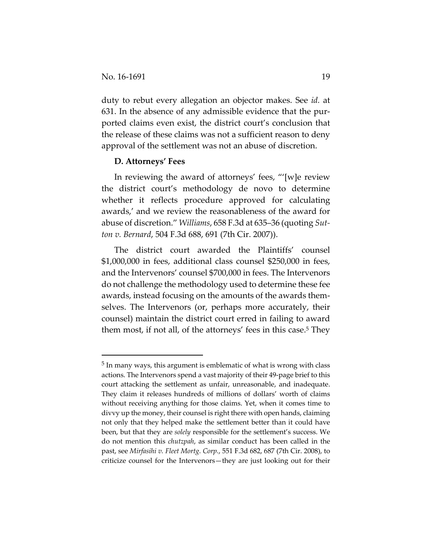duty to rebut every allegation an objector makes. See *id.* at 631. In the absence of any admissible evidence that the pur‐ ported claims even exist, the district court's conclusion that the release of these claims was not a sufficient reason to deny approval of the settlement was not an abuse of discretion.

#### **D. Attorneys' Fees**

In reviewing the award of attorneys' fees, "'[w]e review the district court's methodology de novo to determine whether it reflects procedure approved for calculating awards,' and we review the reasonableness of the award for abuse of discretion." *Williams*, 658 F.3d at 635–36 (quoting *Sut‐ ton v. Bernard*, 504 F.3d 688, 691 (7th Cir. 2007)).

The district court awarded the Plaintiffs' counsel \$1,000,000 in fees, additional class counsel \$250,000 in fees, and the Intervenors' counsel \$700,000 in fees. The Intervenors do not challenge the methodology used to determine these fee awards, instead focusing on the amounts of the awards them‐ selves. The Intervenors (or, perhaps more accurately, their counsel) maintain the district court erred in failing to award them most, if not all, of the attorneys' fees in this case.<sup>5</sup> They

<sup>5</sup> In many ways, this argument is emblematic of what is wrong with class actions. The Intervenors spend a vast majority of their 49‐page brief to this court attacking the settlement as unfair, unreasonable, and inadequate. They claim it releases hundreds of millions of dollars' worth of claims without receiving anything for those claims. Yet, when it comes time to divvy up the money, their counsel is right there with open hands, claiming not only that they helped make the settlement better than it could have been, but that they are *solely* responsible for the settlement's success. We do not mention this *chutzpah*, as similar conduct has been called in the past, see *Mirfasihi v. Fleet Mortg. Corp.*, 551 F.3d 682, 687 (7th Cir. 2008), to criticize counsel for the Intervenors—they are just looking out for their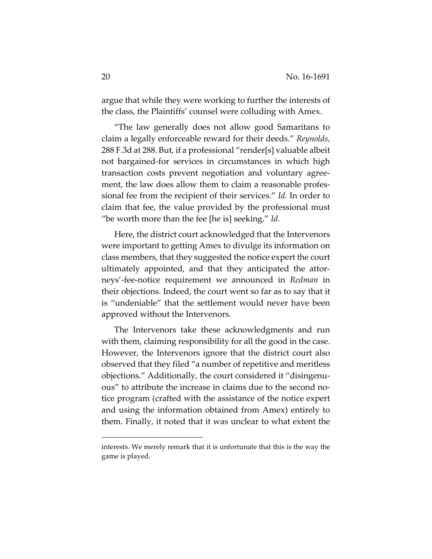argue that while they were working to further the interests of the class, the Plaintiffs' counsel were colluding with Amex.

"The law generally does not allow good Samaritans to claim a legally enforceable reward for their deeds." *Reynolds*, 288 F.3d at 288. But, if a professional "render[s] valuable albeit not bargained‐for services in circumstances in which high transaction costs prevent negotiation and voluntary agree‐ ment, the law does allow them to claim a reasonable professional fee from the recipient of their services." *Id.* In order to claim that fee, the value provided by the professional must "be worth more than the fee [he is] seeking." *Id.*

Here, the district court acknowledged that the Intervenors were important to getting Amex to divulge its information on class members, that they suggested the notice expert the court ultimately appointed, and that they anticipated the attor‐ neys'‐fee‐notice requirement we announced in *Redman* in their objections. Indeed, the court went so far as to say that it is "undeniable" that the settlement would never have been approved without the Intervenors.

The Intervenors take these acknowledgments and run with them, claiming responsibility for all the good in the case. However, the Intervenors ignore that the district court also observed that they filed "a number of repetitive and meritless objections." Additionally, the court considered it "disingenu‐ ous" to attribute the increase in claims due to the second no‐ tice program (crafted with the assistance of the notice expert and using the information obtained from Amex) entirely to them. Finally, it noted that it was unclear to what extent the

interests. We merely remark that it is unfortunate that this is the way the game is played.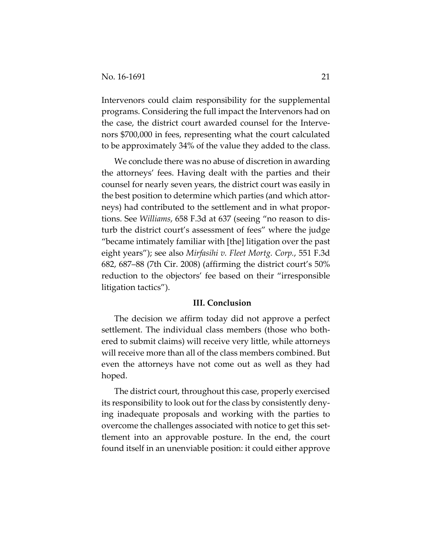Intervenors could claim responsibility for the supplemental programs. Considering the full impact the Intervenors had on the case, the district court awarded counsel for the Interve‐ nors \$700,000 in fees, representing what the court calculated to be approximately 34% of the value they added to the class.

We conclude there was no abuse of discretion in awarding the attorneys' fees. Having dealt with the parties and their counsel for nearly seven years, the district court was easily in the best position to determine which parties (and which attor‐ neys) had contributed to the settlement and in what propor‐ tions. See *Williams*, 658 F.3d at 637 (seeing "no reason to dis‐ turb the district court's assessment of fees" where the judge "became intimately familiar with [the] litigation over the past eight years"); see also *Mirfasihi v. Fleet Mortg. Corp.*, 551 F.3d 682, 687–88 (7th Cir. 2008) (affirming the district court's 50% reduction to the objectors' fee based on their "irresponsible litigation tactics").

#### **III. Conclusion**

The decision we affirm today did not approve a perfect settlement. The individual class members (those who both‐ ered to submit claims) will receive very little, while attorneys will receive more than all of the class members combined. But even the attorneys have not come out as well as they had hoped.

The district court, throughout this case, properly exercised its responsibility to look out for the class by consistently denying inadequate proposals and working with the parties to overcome the challenges associated with notice to get this set‐ tlement into an approvable posture. In the end, the court found itself in an unenviable position: it could either approve